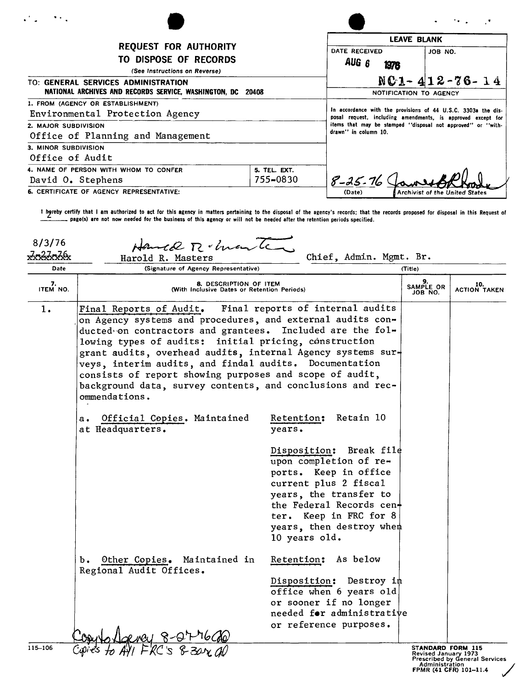| .<br>$\mathcal{F}(\mathcal{F})$                                                                                                                                                              |                                 |                                                                                                                              |                                       |  |
|----------------------------------------------------------------------------------------------------------------------------------------------------------------------------------------------|---------------------------------|------------------------------------------------------------------------------------------------------------------------------|---------------------------------------|--|
| <b>REQUEST FOR AUTHORITY</b><br>TO DISPOSE OF RECORDS<br>(See Instructions on Reverse)<br>TO: GENERAL SERVICES ADMINISTRATION<br>NATIONAL ARCHIVES AND RECORDS SERVICE, WASHINGTON, DC 20408 |                                 | <b>LEAVE BLANK</b>                                                                                                           |                                       |  |
|                                                                                                                                                                                              |                                 | DATE RECEIVED<br>AUG 6<br>1976                                                                                               | JOB NO.                               |  |
|                                                                                                                                                                                              |                                 | $NC1 - 412 - 76 - 14$<br>NOTIFICATION TO AGENCY                                                                              |                                       |  |
| 1. FROM (AGENCY OR ESTABLISHMENT)<br>Environmental Protection Agency                                                                                                                         |                                 | In accordance with the provisions of 44 U.S.C. 3303a the dis-<br>posal request, including amendments, is approved except for |                                       |  |
| 2. MAJOR SUBDIVISION<br>Office of Planning and Management                                                                                                                                    |                                 | items that may be stamped "disposal not approved" or "with-<br>drawn'' in column 10.                                         |                                       |  |
| 3. MINOR SUBDIVISION<br>Office of Audit                                                                                                                                                      |                                 |                                                                                                                              |                                       |  |
| 4. NAME OF PERSON WITH WHOM TO CONFER<br>David O. Stephens                                                                                                                                   | <b>5. TEL. EXT.</b><br>755-0830 | $8 - 25 - 76$                                                                                                                |                                       |  |
| 6. CERTIFICATE OF AGENCY REPRESENTATIVE:                                                                                                                                                     |                                 | (Date)                                                                                                                       | <b>Archivist of the United States</b> |  |

t hyreby certify that I am authorized to act for this agency in matters pertaining to the disposal of the agency's records; that the records proposed for disposal in this Request of<br>\_\_\_\_\_\_\_\_ page(s) are not now needed for

| 8/3/76         | Hance R. hante                                                                                                                                                                                                                                                                                                                                                                                                                                                                                                     |                                                                                                                                                                                                                             |                                                               |                     |
|----------------|--------------------------------------------------------------------------------------------------------------------------------------------------------------------------------------------------------------------------------------------------------------------------------------------------------------------------------------------------------------------------------------------------------------------------------------------------------------------------------------------------------------------|-----------------------------------------------------------------------------------------------------------------------------------------------------------------------------------------------------------------------------|---------------------------------------------------------------|---------------------|
| <u>In2InIb</u> | Harold R. Masters                                                                                                                                                                                                                                                                                                                                                                                                                                                                                                  | Chief, Admin. Mgmt. Br.                                                                                                                                                                                                     |                                                               |                     |
| Date           | (Signature of Agency Representative)<br>(Title)                                                                                                                                                                                                                                                                                                                                                                                                                                                                    |                                                                                                                                                                                                                             |                                                               |                     |
| 7.<br>ITEM NO. | 9.<br>SAMPLE OR<br>JOB NO.<br>8. DESCRIPTION OF ITEM<br>(With Inclusive Dates or Retention Periods)                                                                                                                                                                                                                                                                                                                                                                                                                |                                                                                                                                                                                                                             |                                                               | 10.<br>ACTION TAKEN |
| 1.             | Final reports of internal audits<br>Final Reports of Audit.<br>on Agency systems and procedures, and external audits con-<br>ducted on contractors and grantees. Included are the fol-<br>lowing types of audits: initial pricing, construction<br>grant audits, overhead audits, internal Agency systems sur-<br>veys, interim audits, and findal audits. Documentation<br>consists of report showing purposes and scope of audit,<br>background data, survey contents, and conclusions and rec-<br>ommendations. |                                                                                                                                                                                                                             |                                                               |                     |
|                | Official Copies. Maintained<br>$\mathbf{a}$ .<br>at Headquarters.                                                                                                                                                                                                                                                                                                                                                                                                                                                  | Retain 10<br>Retention:<br>years.<br>Disposition:<br>Break file<br>upon completion of re-<br>ports. Keep in office<br>current plus 2 fiscal<br>years, the transfer to<br>the Federal Records cen+<br>ter. Keep in FRC for 8 |                                                               |                     |
|                |                                                                                                                                                                                                                                                                                                                                                                                                                                                                                                                    | years, then destroy when<br>10 years old.                                                                                                                                                                                   |                                                               |                     |
|                | b. Other Copies. Maintained in<br>Regional Audit Offices.                                                                                                                                                                                                                                                                                                                                                                                                                                                          | Retention: As below                                                                                                                                                                                                         |                                                               |                     |
|                |                                                                                                                                                                                                                                                                                                                                                                                                                                                                                                                    | Disposition: Destroy im<br>office when 6 years old<br>or sooner if no longer<br>needed for administrative<br>or reference purposes.                                                                                         |                                                               |                     |
| 115-106        |                                                                                                                                                                                                                                                                                                                                                                                                                                                                                                                    |                                                                                                                                                                                                                             | STANDARD FORM 115<br>Revised January 1973<br>$D$ rocaribod bu |                     |